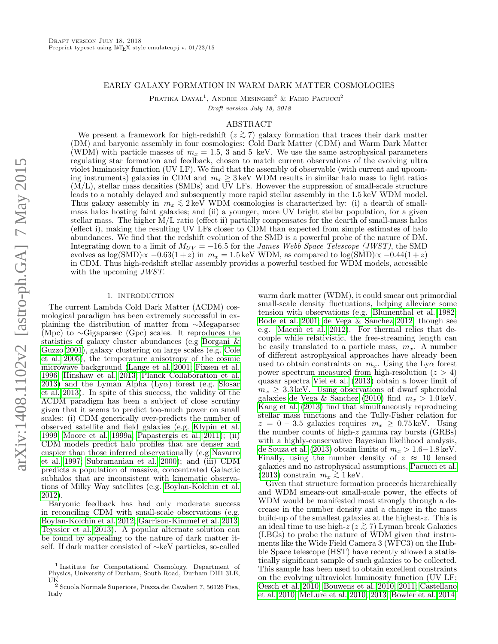## EARLY GALAXY FORMATION IN WARM DARK MATTER COSMOLOGIES

Pratika Dayal<sup>1</sup>, Andrei Mesinger<sup>2</sup> & Fabio Pacucci<sup>2</sup> Draft version July 18, 2018

## ABSTRACT

We present a framework for high-redshift  $(z \gtrsim 7)$  galaxy formation that traces their dark matter (DM) and baryonic assembly in four cosmologies: Cold Dark Matter (CDM) and Warm Dark Matter (WDM) with particle masses of  $m_x = 1.5$ , 3 and 5 keV. We use the same astrophysical parameters regulating star formation and feedback, chosen to match current observations of the evolving ultra violet luminosity function (UV LF). We find that the assembly of observable (with current and upcoming instruments) galaxies in CDM and  $m_x \geq 3$  keV WDM results in similar halo mass to light ratios (M/L), stellar mass densities (SMDs) and UV LFs. However the suppression of small-scale structure leads to a notably delayed and subsequently more rapid stellar assembly in the 1.5 keV WDM model. Thus galaxy assembly in  $m_x \lesssim 2 \,\text{keV}$  WDM cosmologies is characterized by: (i) a dearth of smallmass halos hosting faint galaxies; and (ii) a younger, more UV bright stellar population, for a given stellar mass. The higher M/L ratio (effect ii) partially compensates for the dearth of small-mass halos (effect i), making the resulting UV LFs closer to CDM than expected from simple estimates of halo abundances. We find that the redshift evolution of the SMD is a powerful probe of the nature of DM. Integrating down to a limit of  $M_{UV} = -16.5$  for the *James Webb Space Telescope (JWST)*, the SMD evolves as log(SMD) $\propto -0.63(1+z)$  in  $m_x = 1.5$  keV WDM, as compared to log(SMD) $\propto -0.44(1+z)$ in CDM. Thus high-redshift stellar assembly provides a powerful testbed for WDM models, accessible with the upcoming *JWST*.

#### 1. INTRODUCTION

The current Lambda Cold Dark Matter (ΛCDM) cosmological paradigm has been extremely successful in explaining the distribution of matter from ∼Megaparsec (Mpc) to ∼Gigaparsec (Gpc) scales. It reproduces the statistics of galaxy cluster abundances (e.g [Borgani &](#page-9-0) [Guzzo 2001\)](#page-9-0), galaxy clustering on large scales (e.g. [Cole](#page-9-1) [et al. 2005\)](#page-9-1), the temperature anisotropy of the cosmic microwave background [\(Lange et al. 2001;](#page-10-0) [Fixsen et al.](#page-10-1) [1996;](#page-10-1) [Hinshaw et al. 2013;](#page-10-2) [Planck Collaboration et al.](#page-10-3) [2013\)](#page-10-3) and the Lyman Alpha  $(Ly\alpha)$  forest (e.g. [Slosar](#page-10-4) [et al. 2013\)](#page-10-4). In spite of this success, the validity of the ΛCDM paradigm has been a subject of close scrutiny given that it seems to predict too-much power on small scales: (i) CDM generically over-predicts the number of observed satellite and field galaxies (e.g. [Klypin et al.](#page-10-5) [1999;](#page-10-5) [Moore et al. 1999a;](#page-10-6) [Papastergis et al. 2011\)](#page-10-7); (ii) CDM models predict halo profiles that are denser and cuspier than those inferred observationally (e.g [Navarro](#page-10-8) [et al. 1997;](#page-10-8) [Subramanian et al. 2000\)](#page-10-9); and (iii) CDM predicts a population of massive, concentrated Galactic subhalos that are inconsistent with kinematic observations of Milky Way satellites (e.g. [Boylan-Kolchin et al.](#page-9-2) [2012\)](#page-9-2).

Baryonic feedback has had only moderate success in reconciling CDM with small-scale observations (e.g. [Boylan-Kolchin et al. 2012;](#page-9-2) [Garrison-Kimmel et al. 2013;](#page-10-10) [Teyssier et al. 2013\)](#page-10-11). A popular alternate solution can be found by appealing to the nature of dark matter itself. If dark matter consisted of ∼keV particles, so-called

warm dark matter (WDM), it could smear out primordial small-scale density fluctuations, helping alleviate some tension with observations (e.g. [Blumenthal et al. 1982;](#page-9-3) [Bode et al. 2001;](#page-9-4) [de Vega & Sanchez 2012;](#page-10-12) though see e.g. Macciò et al. 2012). For thermal relics that decouple while relativistic, the free-streaming length can be easily translated to a particle mass,  $m_x$ . A number of different astrophysical approaches have already been used to obtain constraints on  $m_x$ . Using the Ly $\alpha$  forest power spectrum measured from high-resolution  $(z > 4)$ quasar spectra [Viel et al.](#page-10-14) [\(2013\)](#page-10-14) obtain a lower limit of  $m_x \geq 3.3 \,\text{keV}$ . Using observations of dwarf spheroidal galaxies [de Vega & Sanchez](#page-10-15) [\(2010\)](#page-10-15) find  $m_x > 1.0 \,\text{keV}$ . [Kang et al.](#page-10-16) [\(2013\)](#page-10-16) find that simultaneously reproducing stellar mass functions and the Tully-Fisher relation for  $z = 0 - 3.5$  galaxies requires  $m_x \geq 0.75 \,\text{keV}$ . Using the number counts of high-z gamma ray bursts (GRBs) with a highly-conservative Bayesian likelihood analysis, [de Souza et al.](#page-10-17) [\(2013\)](#page-10-17) obtain limits of  $m_x > 1.6-1.8 \,\text{keV}$ . Finally, using the number density of  $z \approx 10$  lensed galaxies and no astrophysical assumptions, [Pacucci et al.](#page-10-18)  $(2013)$  constrain  $m_x \gtrsim 1$  keV.

Given that structure formation proceeds hierarchically and WDM smears-out small-scale power, the effects of WDM would be manifested most strongly through a decrease in the number density and a change in the mass build-up of the smallest galaxies at the highest-z. This is an ideal time to use high- $z(z \gtrsim 7)$  Lyman break Galaxies (LBGs) to probe the nature of WDM given that instruments like the Wide Field Camera 3 (WFC3) on the Hubble Space telescope (HST) have recently allowed a statistically significant sample of such galaxies to be collected. This sample has been used to obtain excellent constraints on the evolving ultraviolet luminosity function (UV LF; [Oesch et al. 2010;](#page-10-19) [Bouwens et al. 2010,](#page-9-5) [2011;](#page-9-6) [Castellano](#page-9-7) [et al. 2010;](#page-9-7) [McLure et al. 2010,](#page-10-20) [2013;](#page-10-21) [Bowler et al. 2014;](#page-9-8)

<sup>1</sup> Institute for Computational Cosmology, Department of Physics, University of Durham, South Road, Durham DH1 3LE,

UK <sup>2</sup> Scuola Normale Superiore, Piazza dei Cavalieri 7, 56126 Pisa, Italy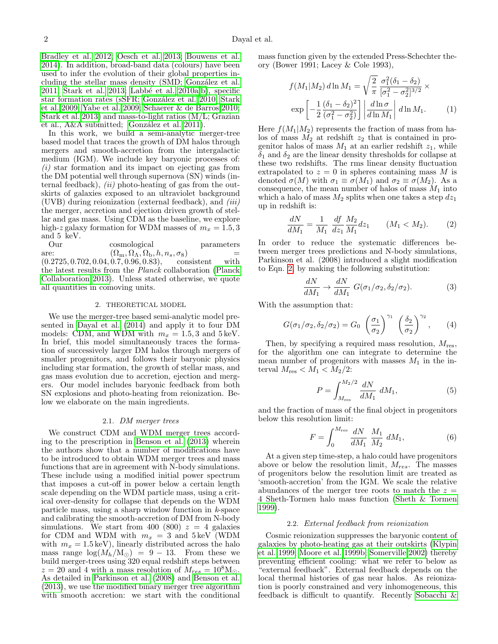[Bradley et al. 2012;](#page-9-9) [Oesch et al. 2013;](#page-10-22) [Bouwens et al.](#page-9-10) [2014\)](#page-9-10). In addition, broad-band data (colours) have been used to infer the evolution of their global properties including the stellar mass density (SMD; González et al. [2011;](#page-10-23) [Stark et al. 2013;](#page-10-24) Labbé et al. 2010a,[b\)](#page-10-26), specific star formation rates (sSFR; González et al. 2010; [Stark](#page-10-28) [et al. 2009;](#page-10-28) [Yabe et al. 2009;](#page-10-29) [Schaerer & de Barros 2010;](#page-10-30) [Stark et al. 2013\)](#page-10-24) and mass-to-light ratios (M/L; Grazian et al., A&A submitted; González et al. 2011).

In this work, we build a semi-analytic merger-tree based model that traces the growth of DM halos through mergers and smooth-accretion from the intergalactic medium (IGM). We include key baryonic processes of:  $(i)$  star formation and its impact on ejecting gas from the DM potential well through supernova (SN) winds (internal feedback),  $(ii)$  photo-heating of gas from the outskirts of galaxies exposed to an ultraviolet background  $(UVB)$  during reionization (external feedback), and  $(iii)$ the merger, accretion and ejection driven growth of stellar and gas mass. Using CDM as the baseline, we explore high-z galaxy formation for WDM masses of  $m_x = 1.5, 3$ and 5 keV.

Our cosmological parameters are:  $(\Omega_{\rm m}, \Omega_{\Lambda}, \Omega_{\rm b}, h, n_s, \sigma_8)$  =<br>(0.2725, 0.702, 0.04, 0.7, 0.96, 0.83), consistent with  $(0.2725, 0.702, 0.04, 0.7, 0.96, 0.83),$ the latest results from the Planck collaboration [\(Planck](#page-10-31) [Collaboration 2013\)](#page-10-31). Unless stated otherwise, we quote all quantities in comoving units.

#### 2. THEORETICAL MODEL

<span id="page-1-2"></span>We use the merger-tree based semi-analytic model presented in [Dayal et al.](#page-10-32) [\(2014\)](#page-10-32) and apply it to four DM models: CDM, and WDM with  $m_x = 1.5, 3$  and  $5 \,\text{keV}$ . In brief, this model simultaneously traces the formation of successively larger DM halos through mergers of smaller progenitors, and follows their baryonic physics including star formation, the growth of stellar mass, and gas mass evolution due to accretion, ejection and mergers. Our model includes baryonic feedback from both SN explosions and photo-heating from reionization. Below we elaborate on the main ingredients.

#### 2.1. DM merger trees

We construct CDM and WDM merger trees according to the prescription in [Benson et al.](#page-9-11) [\(2013\)](#page-9-11) wherein the authors show that a number of modifications have to be introduced to obtain WDM merger trees and mass functions that are in agreement with N-body simulations. These include using a modified initial power spectrum that imposes a cut-off in power below a certain length scale depending on the WDM particle mass, using a critical over-density for collapse that depends on the WDM particle mass, using a sharp window function in  $k$ -space and calibrating the smooth-accretion of DM from N-body simulations. We start from 400 (800)  $z = 4$  galaxies for CDM and WDM with  $m_x = 3$  and  $5 \text{ keV}$  (WDM with  $m_x = 1.5 \,\text{keV}$ , linearly distributed across the halo mass range  $\log(M_h/M_{\odot}) = 9 - 13$ . From these we build merger-trees using 320 equal redshift steps between  $z = 20$  and 4 with a mass resolution of  $M_{res} = 10^8$ M<sub>o</sub>. As detailed in [Parkinson et al.](#page-10-33) [\(2008\)](#page-10-33) and [Benson et al.](#page-9-11) [\(2013\)](#page-9-11), we use the modified binary merger tree algorithm with smooth accretion: we start with the conditional

mass function given by the extended Press-Schechter theory (Bower 1991; Lacey & Cole 1993),

$$
f(M_1|M_2) d \ln M_1 = \sqrt{\frac{2}{\pi}} \frac{\sigma_1^2(\delta_1 - \delta_2)}{[\sigma_1^2 - \sigma_2^2]^{3/2}} \times
$$

$$
\exp\left[-\frac{1}{2} \frac{(\delta_1 - \delta_2)^2}{(\sigma_1^2 - \sigma_2^2)}\right] \left| \frac{d \ln \sigma}{d \ln M_1} \right| d \ln M_1.
$$
 (1)

Here  $f(M_1|M_2)$  represents the fraction of mass from halos of mass  $M_2$  at redshift  $z_2$  that is contained in progenitor halos of mass  $M_1$  at an earlier redshift  $z_1$ , while  $\delta_1$  and  $\delta_2$  are the linear density thresholds for collapse at these two redshifts. The rms linear density fluctuation extrapolated to  $z = 0$  in spheres containing mass M is denoted  $\sigma(M)$  with  $\sigma_1 \equiv \sigma(M_1)$  and  $\sigma_2 \equiv \sigma(M_2)$ . As a consequence, the mean number of halos of mass  $M_1$  into which a halo of mass  $M_2$  splits when one takes a step  $dz_1$ up in redshift is:

<span id="page-1-0"></span>
$$
\frac{dN}{dM_1} = \frac{1}{M_1} \frac{df}{dz_1} \frac{M_2}{M_1} dz_1 \qquad (M_1 < M_2). \tag{2}
$$

In order to reduce the systematic differences between merger trees predictions and N-body simulations, Parkinson et al. (2008) introduced a slight modification to Eqn. [2,](#page-1-0) by making the following substitution:

$$
\frac{dN}{dM_1} \to \frac{dN}{dM_1} \ G(\sigma_1/\sigma_2, \delta_2/\sigma_2). \tag{3}
$$

With the assumption that:

$$
G(\sigma_1/\sigma_2, \delta_2/\sigma_2) = G_0 \left(\frac{\sigma_1}{\sigma_2}\right)^{\gamma_1} \left(\frac{\delta_2}{\sigma_2}\right)^{\gamma_2}, \qquad (4)
$$

Then, by specifying a required mass resolution,  $M_{\text{res}}$ , for the algorithm one can integrate to determine the mean number of progenitors with masses  $M_1$  in the interval  $M_{\text{res}} < M_1 < M_2/2$ :

$$
P = \int_{M_{\rm res}}^{M_2/2} \frac{dN}{dM_1} \, dM_1,\tag{5}
$$

and the fraction of mass of the final object in progenitors below this resolution limit:

$$
F = \int_0^{M_{\rm res}} \frac{dN}{dM_1} \frac{M_1}{M_2} \, dM_1,\tag{6}
$$

At a given step time-step, a halo could have progenitors above or below the resolution limit,  $M_{res}$ . The masses of progenitors below the resolution limit are treated as 'smooth-accretion' from the IGM. We scale the relative abundances of the merger tree roots to match the  $z =$ 4 Sheth-Tormen halo mass function [\(Sheth & Tormen](#page-10-34) [1999\)](#page-10-34).

### 2.2. External feedback from reionization

<span id="page-1-1"></span>Cosmic reionization suppresses the baryonic content of galaxies by photo-heating gas at their outskirts [\(Klypin](#page-10-5) [et al. 1999;](#page-10-5) [Moore et al. 1999b;](#page-10-35) [Somerville 2002\)](#page-10-36) thereby preventing efficient cooling: what we refer to below as "external feedback". External feedback depends on the local thermal histories of gas near halos. As reionization is poorly constrained and very inhomogeneous, this feedback is difficult to quantify. Recently [Sobacchi &](#page-10-37)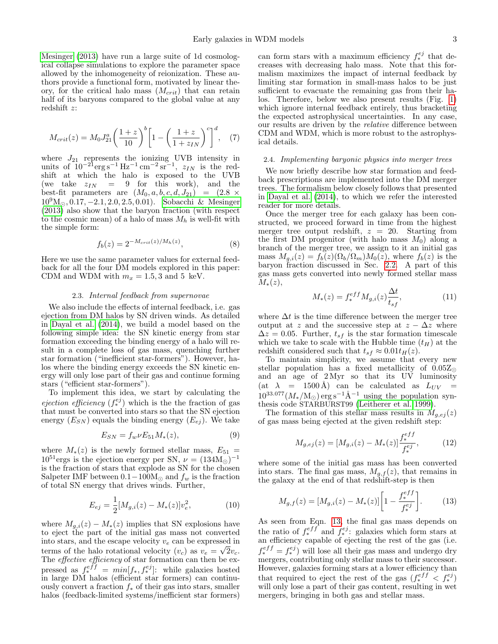[Mesinger](#page-10-37) [\(2013\)](#page-10-37) have run a large suite of 1d cosmological collapse simulations to explore the parameter space allowed by the inhomogeneity of reionization. These authors provide a functional form, motivated by linear theory, for the critical halo mass  $(M_{crit})$  that can retain half of its baryons compared to the global value at any redshift z:

$$
M_{crit}(z) = M_0 J_{21}^a \left(\frac{1+z}{10}\right)^b \left[1 - \left(\frac{1+z}{1+z_{IN}}\right)^c\right]^d, \quad (7)
$$

where  $J_{21}$  represents the ionizing UVB intensity in units of  $10^{-21}$ erg s<sup>-1</sup> Hz<sup>-1</sup> cm<sup>-2</sup> sr<sup>-1</sup>,  $z_{IN}$  is the redshift at which the halo is exposed to the UVB (we take  $z_{IN} = 9$  for this work), and the best-fit parameters are  $(M_0, a, b, c, d, J_{21}) = (2.8 \times$  $10^9M_{\odot}$ , 0.17,  $-2.1$ , 2.0, 2.5, 0.01). [Sobacchi & Mesinger](#page-10-37)  $(2013)$  also show that the baryon fraction (with respect to the cosmic mean) of a halo of mass  $M_h$  is well-fit with the simple form:

$$
f_b(z) = 2^{-M_{crit}(z)/M_h(z)},
$$
\n(8)

Here we use the same parameter values for external feedback for all the four DM models explored in this paper: CDM and WDM with  $m_x = 1.5, 3$  and 5 keV.

### 2.3. Internal feedback from supernovae

We also include the effects of internal feedback, i.e. gas ejection from DM halos by SN driven winds. As detailed in [Dayal et al.](#page-10-32) [\(2014\)](#page-10-32), we build a model based on the following simple idea: the SN kinetic energy from star formation exceeding the binding energy of a halo will result in a complete loss of gas mass, quenching further star formation ("inefficient star-formers"). However, halos where the binding energy exceeds the SN kinetic energy will only lose part of their gas and continue forming stars ("efficient star-formers").

To implement this idea, we start by calculating the *ejection efficiency*  $(f_*^{ej})$  which is the the fraction of gas that must be converted into stars so that the SN ejection energy  $(E_{SN})$  equals the binding energy  $(E_{ej})$ . We take

$$
E_{SN} = f_w \nu E_{51} M_*(z),\tag{9}
$$

where  $M_*(z)$  is the newly formed stellar mass,  $E_{51}$  =  $10^{51}$ ergs is the ejection energy per SN,  $\nu = (134M_{\odot})^{-1}$ is the fraction of stars that explode as SN for the chosen Salpeter IMF between  $0.1-100M_{\odot}$  and  $f_w$  is the fraction of total SN energy that drives winds. Further,

$$
E_{ej} = \frac{1}{2} [M_{g,i}(z) - M_*(z)] v_e^2, \tag{10}
$$

where  $M_{g,i}(z) - M_{*}(z)$  implies that SN explosions have to eject the part of the initial gas mass not converted into stars, and the escape velocity  $v_e$  can be expressed in terms of the halo rotational velocity  $(v_c)$  as  $v_e = \sqrt{2}v_c$ . The *effective efficiency* of star formation can then be expressed as  $f_*^{eff} = min[f_*, f_*^{ej}]$ : while galaxies hosted in large DM halos (efficient star formers) can continuously convert a fraction  $f_*$  of their gas into stars, smaller halos (feedback-limited systems/inefficient star formers)

can form stars with a maximum efficiency  $f_*^{ej}$  that decreases with decreasing halo mass. Note that this formalism maximizes the impact of internal feedback by limiting star formation in small-mass halos to be just sufficient to evacuate the remaining gas from their halos. Therefore, below we also present results (Fig. [1\)](#page-3-0) which ignore internal feedback entirely, thus bracketing the expected astrophysical uncertainties. In any case, our results are driven by the relative difference between CDM and WDM, which is more robust to the astrophysical details.

### 2.4. Implementing baryonic physics into merger trees

We now briefly describe how star formation and feedback prescriptions are implemented into the DM merger trees. The formalism below closely follows that presented in [Dayal et al.](#page-10-32) [\(2014\)](#page-10-32), to which we refer the interested reader for more details.

Once the merger tree for each galaxy has been constructed, we proceed forward in time from the highest merger tree output redshift,  $z = 20$ . Starting from the first DM progenitor (with halo mass  $M_0$ ) along a branch of the merger tree, we assign to it an initial gas mass  $M_{g,i}(z) = f_b(z) (\Omega_b/\Omega_m) M_0(z)$ , where  $f_b(z)$  is the baryon fraction discussed in Sec. [2.2.](#page-1-1) A part of this gas mass gets converted into newly formed stellar mass  $M_*(z)$ ,

<span id="page-2-1"></span>
$$
M_*(z) = f_*^{eff} M_{g,i}(z) \frac{\Delta t}{t_{sf}},
$$
\n(11)

where  $\Delta t$  is the time difference between the merger tree output at z and the successive step at  $z - \Delta z$  where  $\Delta z = 0.05$ . Further,  $t_{sf}$  is the star formation timescale which we take to scale with the Hubble time  $(t_H)$  at the redshift considered such that  $t_{sf} \approx 0.01 t_H(z)$ .

To maintain simplicity, we assume that every new stellar population has a fixed metallicity of  $0.05Z_{\odot}$ and an age of  $2 Myr$  so that its UV luminosity (at  $\lambda$  = 1500 Å) can be calculated as  $L_{UV}$  =  $10^{33.077}(M_*/{\rm M}_{\odot})$  erg s<sup>-1</sup>Å<sup>-1</sup> using the population synthesis code STARBURST99 [\(Leitherer et al. 1999\)](#page-10-38).

The formation of this stellar mass results in  $\dot{M}_{q,ej}(z)$ of gas mass being ejected at the given redshift step:

$$
M_{g,ej}(z) = [M_{g,i}(z) - M_*(z)] \frac{f_*^{eff}}{f_*^{ej}},
$$
 (12)

where some of the initial gas mass has been converted into stars. The final gas mass,  $M_{q,f}(z)$ , that remains in the galaxy at the end of that redshift-step is then

<span id="page-2-0"></span>
$$
M_{g,f}(z) = [M_{g,i}(z) - M_*(z)] \left[ 1 - \frac{f_*^{eff}}{f_*^{ej}} \right].
$$
 (13)

As seen from Eqn. [13,](#page-2-0) the final gas mass depends on the ratio of  $f_*^{eff}$  and  $f_*^{ej}$ : galaxies which form stars at an efficiency capable of ejecting the rest of the gas (i.e.  $f_*^{eff} = f_*^{ej}$ ) will lose all their gas mass and undergo dry mergers, contributing only stellar mass to their successor. However, galaxies forming stars at a lower efficiency than that required to eject the rest of the gas  $(f_*^{eff} < f_*^{ej})$ will only lose a part of their gas content, resulting in wet mergers, bringing in both gas and stellar mass.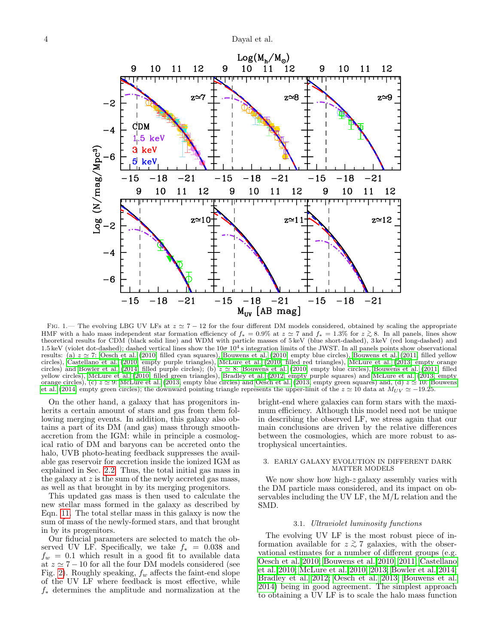

<span id="page-3-0"></span>FIG. 1.— The evolving LBG UV LFs at  $z \approx 7 - 12$  for the four different DM models considered, obtained by scaling the appropriate HMF with a halo mass independent star formation efficiency of  $f_* = 0.9\%$  at  $z \approx 7$  and  $f_* = 1.3\%$  for  $z \gtrsim 8$ . In all panels, lines show theoretical results for CDM (black solid line) and WDM with particle masses of 5 keV (blue short-dashed), 3 keV (red long-dashed) and 1.5 keV (violet dot-dashed); dashed vertical lines show the  $10\sigma 10^4$  s integration limits of the JWST. In all panels points show observational results: (a)  $z \approx 7$ : [Oesch et al.](#page-10-19) [\(2010,](#page-9-5) filled cyan squares), [Bouwens et al.](#page-9-6) (2010, empty blue circles), Bouwens et al. [\(2011,](#page-9-6) filled yellow circles), [Castellano et al.](#page-9-7) [\(2010,](#page-9-7) empty purple triangles), [McLure et al.](#page-10-20) [\(2010,](#page-10-20) filled red triangles), [McLure et al.](#page-10-21) [\(2013,](#page-10-21) empty orange circles) and [Bowler et al.](#page-9-8) [\(2014,](#page-9-8) filled purple circles); (b)  $z \approx 8$ : [Bouwens et al.](#page-9-6) [\(2010,](#page-9-5) empty blue circles), Bouwens et al. [\(2011,](#page-9-6) filled yellow circles), [McLure et al.](#page-10-20) [\(2010,](#page-10-20) filled green triangles), [Bradley et al.](#page-9-9) [\(2012,](#page-9-9) empty purple squares) and [McLure et al.](#page-10-21) [\(2013,](#page-10-21) empty orange circles), (c)  $z \approx 9$ : [McLure et al.](#page-10-21) [\(2013,](#page-10-22) empty blue circles) and [Oesch et al.](#page-10-22) (2013, empty green squares) and, (d)  $z \approx 10$ : [Bouwens](#page-9-10) [et al.](#page-9-10) [\(2014,](#page-9-10) empty green circles); the downward pointing triangle represents the upper-limit of the  $z \approx 10$  data at  $M_{UV} \approx -19.25$ .

On the other hand, a galaxy that has progenitors inherits a certain amount of stars and gas from them following merging events. In addition, this galaxy also obtains a part of its DM (and gas) mass through smoothaccretion from the IGM: while in principle a cosmological ratio of DM and baryons can be accreted onto the halo, UVB photo-heating feedback suppresses the available gas reservoir for accretion inside the ionized IGM as explained in Sec. [2.2.](#page-1-1) Thus, the total initial gas mass in the galaxy at  $z$  is the sum of the newly accreted gas mass, as well as that brought in by its merging progenitors.

This updated gas mass is then used to calculate the new stellar mass formed in the galaxy as described by Eqn. [11.](#page-2-1) The total stellar mass in this galaxy is now the sum of mass of the newly-formed stars, and that brought in by its progenitors.

Our fiducial parameters are selected to match the observed UV LF. Specifically, we take  $f_* = 0.038$  and  $f_w = 0.1$  which result in a good fit to available data at  $z \simeq 7 - 10$  for all the four DM models considered (see Fig. [2\)](#page-4-0). Roughly speaking,  $f_w$  affects the faint-end slope of the UV LF where feedback is most effective, while  $f_*$  determines the amplitude and normalization at the

bright-end where galaxies can form stars with the maximum efficiency. Although this model need not be unique in describing the observed LF, we stress again that our main conclusions are driven by the relative differences between the cosmologies, which are more robust to astrophysical uncertainties.

### 3. EARLY GALAXY EVOLUTION IN DIFFERENT DARK MATTER MODELS

We now show how high-z galaxy assembly varies with the DM particle mass considered, and its impact on observables including the UV LF, the M/L relation and the SMD.

## 3.1. Ultraviolet luminosity functions

<span id="page-3-1"></span>The evolving UV LF is the most robust piece of information available for  $z \gtrsim 7$  galaxies, with the observational estimates for a number of different groups (e.g. [Oesch et al. 2010;](#page-10-19) [Bouwens et al. 2010,](#page-9-5) [2011;](#page-9-6) [Castellano](#page-9-7) [et al. 2010;](#page-9-7) [McLure et al. 2010,](#page-10-20) [2013;](#page-10-21) [Bowler et al. 2014;](#page-9-8) [Bradley et al. 2012;](#page-9-9) [Oesch et al. 2013;](#page-10-22) [Bouwens et al.](#page-9-10) [2014\)](#page-9-10) being in good agreement. The simplest approach to obtaining a UV LF is to scale the halo mass function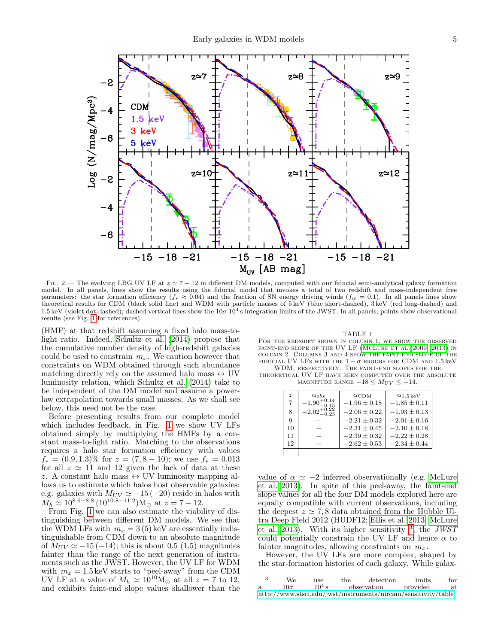

<span id="page-4-0"></span>FIG. 2.— The evolving LBG UV LF at  $z \approx 7 - 12$  in different DM models, computed with our fiducial semi-analytical galaxy formation model. In all panels, lines show the results using the fiducial model that invokes a total of two redshift and mass-independent free parameters: the star formation efficiency  $(f_* \approx 0.04)$  and the fraction of SN energy driving winds  $(f_w = 0.1)$ . In all panels lines show<br>theoretical results for CDM (black solid line) and WDM with particle masses of 5 keV 1.5 keV (violet dot-dashed); dashed vertical lines show the  $10\sigma 10^4$  s integration limits of the JWST. In all panels, points show observational results (see Fig. [1](#page-3-0) for references).

(HMF) at that redshift assuming a fixed halo mass-tolight ratio. Indeed, [Schultz et al.](#page-10-39) [\(2014\)](#page-10-39) propose that the cumulative number density of high-redshift galaxies could be used to constrain  $m_x$ . We caution however that constraints on WDM obtained through such abundance matching directly rely on the assumed halo mass  $\leftrightarrow$  UV luminosity relation, which [Schultz et al.](#page-10-39) [\(2014\)](#page-10-39) take to be independent of the DM model and assume a powerlaw extrapolation towards small masses. As we shall see below, this need not be the case.

Before presenting results from our complete model which includes feedback, in Fig. [1](#page-3-0) we show UV LFs obtained simply by multiplying the HMFs by a constant mass-to-light ratio. Matching to the observations requires a halo star formation efficiency with values  $f_* = (0.9, 1.3)\%$  for  $z = (7, 8 - 10)$ ; we use  $f_* = 0.013$ for all  $z \approx 11$  and 12 given the lack of data at these z. A constant halo mass  $\leftrightarrow$  UV luminosity mapping allows us to estimate which halos host observable galaxies: e.g. galaxies with  $M_{UV} \simeq -15 (-20)$  reside in halos with  $M_h \simeq 10^{8.6-8.8} (10^{10.8-11.2}) \text{M}_{\odot}$  at  $z = 7-12$ .

From Fig. [1](#page-3-0) we can also estimate the viability of distinguishing between different DM models. We see that the WDM LFs with  $m_x = 3(5)$  keV are essentially indistinguishable from CDM down to an absolute magnitude of  $M_{UV} \simeq -15 (-14)$ ; this is about 0.5 (1.5) magnitudes fainter than the range of the next generation of instruments such as the JWST. However, the UV LF for WDM with  $m_x = 1.5 \,\text{keV}$  starts to "peel-away" from the CDM UV LF at a value of  $M_h \simeq 10^{10} \text{M}_{\odot}$  at all  $z = 7$  to 12, and exhibits faint-end slope values shallower than the

TABLE 1

<span id="page-4-2"></span>FOR THE REDSHIFT SHOWN IN COLUMN 1, WE SHOW THE OBSERVED FAINT-END SLOPE OF THE UV LF (MCLURE ET AL. 2009, [2013\)](#page-10-21) IN column 2. Columns 3 and 4 show the faint-end slope of the FIDUCIAL UV LFS WITH THE  $1 - \sigma$  errors for CDM and 1.5 keV WDM, respectively. The faint-end slopes for the

theoretical UV LF have been computed over the absolute MAGNITUDE RANGE  $-18 \leq M_{UV} \leq -14$ .

| $\boldsymbol{z}$ | $\alpha_{obs}$          | $\alpha$ CDM     | $\alpha_{1.5\,\rm{keV}}$ |  |
|------------------|-------------------------|------------------|--------------------------|--|
| 7                | $-1.90^{-}$             | $-1.96 \pm 0.18$ | $-1.85 \pm 0.11$         |  |
| 8                | $-2.02^{+0.22}_{-0.23}$ | $-2.06 + 0.22$   | $-1.93 \pm 0.13$         |  |
| 9                |                         | $-2.21 \pm 0.32$ | $-2.01 \pm 0.16$         |  |
| 10               |                         | $-2.31 \pm 0.45$ | $-2.10 + 0.18$           |  |
| 11               |                         | $-2.39 \pm 0.32$ | $-2.22 + 0.28$           |  |
| 12               |                         | $-2.62 \pm 0.53$ | $-2.34 \pm 0.44$         |  |
|                  |                         |                  |                          |  |

value of  $\alpha \simeq -2$  inferred observationally (e.g. [McLure](#page-10-21) [et al. 2013\)](#page-10-21). In spite of this peel-away, the faint-end slope values for all the four DM models explored here are equally compatible with current observations, including the deepest  $z \approx 7, 8$  data obtained from the Hubble Ultra Deep Field 2012 (HUDF12; [Ellis et al. 2013;](#page-10-41) [McLure](#page-10-21) [et al. 2013\)](#page-10-21). With its higher sensitivity  $3$ , the JWST could potentially constrain the UV LF and hence  $\alpha$  to fainter magnitudes, allowing constraints on  $m_x$ .

However, the UV LFs are more complex, shaped by the star-formation histories of each galaxy. While galax-

<span id="page-4-1"></span>

| -3 | We.         | use      | the | detection                                                       | limits   | for |
|----|-------------|----------|-----|-----------------------------------------------------------------|----------|-----|
| a. | 10 $\sigma$ | $10^4$ s |     | observation                                                     | provided | at  |
|    |             |          |     | http://www.stsci.edu/jwst/instruments/nircam/sensitivity/table. |          |     |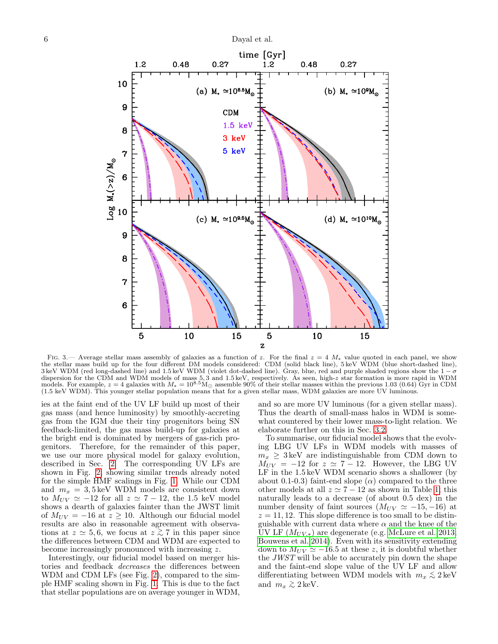

<span id="page-5-0"></span>FIG. 3.— Average stellar mass assembly of galaxies as a function of z. For the final  $z = 4$   $M_*$  value quoted in each panel, we show the stellar mass build up for the four different DM models considered: CDM (solid black 3 keV WDM (red long-dashed line) and 1.5 keV WDM (violet dot-dashed line). Gray, blue, red and purple shaded regions show the  $1-\sigma$ dispersion for the CDM and WDM models of mass 5,3 and 1.5 keV, respectively. As seen, high-z star formation is more rapid in WDM<br>models. For example,  $z = 4$  galaxies with  $M_* = 10^{8.5} \text{M}_{\odot}$  assemble 90% of their stell (1.5 keV WDM). This younger stellar population means that for a given stellar mass, WDM galaxies are more UV luminous.

ies at the faint end of the UV LF build up most of their gas mass (and hence luminosity) by smoothly-accreting gas from the IGM due their tiny progenitors being SN feedback-limited, the gas mass build-up for galaxies at the bright end is dominated by mergers of gas-rich progenitors. Therefore, for the remainder of this paper, we use our more physical model for galaxy evolution, described in Sec. [2.](#page-1-2) The corresponding UV LFs are shown in Fig. [2,](#page-4-0) showing similar trends already noted for the simple HMF scalings in Fig. [1.](#page-3-0) While our CDM and  $m_x = 3,5 \,\text{keV}$  WDM models are consistent down to  $M_{UV} \simeq -12$  for all  $z \simeq 7 - 12$ , the 1.5 keV model shows a dearth of galaxies fainter than the JWST limit of  $M_{UV} = -16$  at  $z \ge 10$ . Although our fiducial model results are also in reasonable agreement with observations at  $z \approx 5, 6$ , we focus at  $z \gtrsim 7$  in this paper since the differences between CDM and WDM are expected to become increasingly pronounced with increasing z.

Interestingly, our fiducial model based on merger histories and feedback decreases the differences between WDM and CDM LFs (see Fig. [2\)](#page-4-0), compared to the simple HMF scaling shown in Fig. [1.](#page-3-0) This is due to the fact that stellar populations are on average younger in WDM,

and so are more UV luminous (for a given stellar mass). Thus the dearth of small-mass halos in WDM is somewhat countered by their lower mass-to-light relation. We elaborate further on this in Sec. [3.2.](#page-6-0)

To summarise, our fiducial model shows that the evolving LBG UV LFs in WDM models with masses of  $m_x \geq 3 \,\text{keV}$  are indistinguishable from CDM down to  $M_{UV}$  = -12 for  $z \approx 7 - 12$ . However, the LBG UV LF in the 1.5 keV WDM scenario shows a shallower (by about 0.1-0.3) faint-end slope  $(\alpha)$  compared to the three other models at all  $z \approx 7 - 12$  as shown in Table [1;](#page-4-2) this naturally leads to a decrease (of about 0.5 dex) in the number density of faint sources  $(M_{UV} \simeq -15, -16)$  at  $z = 11, 12$ . This slope difference is too small to be distinguishable with current data where  $\alpha$  and the knee of the UV LF  $(M_{UV,*})$  are degenerate (e.g. [McLure et al. 2013;](#page-10-21) [Bouwens et al. 2014\)](#page-9-10). Even with its sensitivity extending down to  $M_{UV} \simeq -16.5$  at these z, it is doubtful whether the JWST will be able to accurately pin down the shape and the faint-end slope value of the UV LF and allow differentiating between WDM models with  $m_x \lesssim 2 \,\mathrm{keV}$ and  $m_x \gtrsim 2 \,\text{keV}$ .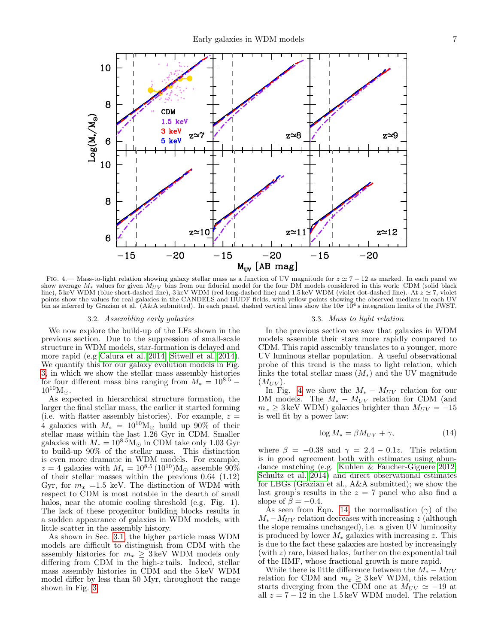

<span id="page-6-1"></span>FIG. 4.— Mass-to-light relation showing galaxy stellar mass as a function of UV magnitude for  $z \approx 7 - 12$  as marked. In each panel we show average  $M_*$  values for given  $M_{UV}$  bins from our fiducial model for the four DM models considered in this work: CDM (solid black line), 5 keV WDM (blue short-dashed line), 3 keV WDM (red long-dashed line) and 1.5 keV WDM (violet dot-dashed line). At  $z \simeq 7$ , violet points show the values for real galaxies in the CANDELS and HUDF fields, with yellow points showing the observed medians in each UV bin as inferred by Grazian et al. (A&A submitted). In each panel, dashed vertical lines show the  $10\sigma 10^4$  s integration limits of the JWST.

#### 3.2. Assembling early galaxies

<span id="page-6-0"></span>We now explore the build-up of the LFs shown in the previous section. Due to the suppression of small-scale structure in WDM models, star-formation is delayed and more rapid (e.g [Calura et al. 2014;](#page-9-12) [Sitwell et al. 2014\)](#page-10-42). We quantify this for our galaxy evolution models in Fig. [3,](#page-5-0) in which we show the stellar mass assembly histories for four different mass bins ranging from  $M_* = 10^{8.5}$  –  $10^{10} M_{\odot}$ .

As expected in hierarchical structure formation, the larger the final stellar mass, the earlier it started forming (i.e. with flatter assembly histories). For example,  $z =$ 4 galaxies with  $M_* = 10^{10} M_{\odot}$  build up 90% of their stellar mass within the last 1.26 Gyr in CDM. Smaller galaxies with  $M_* = 10^{8.5} \text{M}_{\odot}$  in CDM take only 1.03 Gyr to build-up 90% of the stellar mass. This distinction is even more dramatic in WDM models. For example,  $z = 4$  galaxies with  $M_* = 10^{8.5} (10^{10}) \text{M}_{\odot}$  assemble 90% of their stellar masses within the previous 0.64 (1.12) Gyr, for  $m_x = 1.5$  keV. The distinction of WDM with respect to CDM is most notable in the dearth of small halos, near the atomic cooling threshold (e.g. Fig. 1). The lack of these progenitor building blocks results in a sudden appearance of galaxies in WDM models, with little scatter in the assembly history.

As shown in Sec. [3.1,](#page-3-1) the higher particle mass WDM models are difficult to distinguish from CDM with the assembly histories for  $m_x \geq 3 \,\text{keV}$  WDM models only differing from CDM in the high-z tails. Indeed, stellar mass assembly histories in CDM and the 5 keV WDM model differ by less than 50 Myr, throughout the range shown in Fig. [3.](#page-5-0)

#### 3.3. Mass to light relation

In the previous section we saw that galaxies in WDM models assemble their stars more rapidly compared to CDM. This rapid assembly translates to a younger, more UV luminous stellar population. A useful observational probe of this trend is the mass to light relation, which links the total stellar mass  $(M_*)$  and the UV magnitude  $(M_{UV})$ .

In Fig. [4](#page-6-1) we show the  $M_* - M_{UV}$  relation for our DM models. The  $M_* - M_{UV}$  relation for CDM (and  $m_x \geq 3 \,\text{keV}$  WDM) galaxies brighter than  $M_{UV} = -15$ is well fit by a power law:

<span id="page-6-2"></span>
$$
\log M_* = \beta M_{UV} + \gamma,\tag{14}
$$

where  $\beta = -0.38$  and  $\gamma = 2.4 - 0.1z$ . This relation is in good agreement both with estimates using abundance matching (e.g. [Kuhlen & Faucher-Giguere 2012;](#page-10-43) [Schultz et al. 2014\)](#page-10-39) and direct observational estimates for LBGs (Grazian et al., A&A submitted); we show the last group's results in the  $z = 7$  panel who also find a slope of  $\bar{\beta} = -0.4$ .

As seen from Eqn. [14,](#page-6-2) the normalisation  $(\gamma)$  of the  $M_* - M_{UV}$  relation decreases with increasing z (although the slope remains unchanged), i.e. a given UV luminosity is produced by lower  $M_*$  galaxies with increasing z. This is due to the fact these galaxies are hosted by increasingly (with z) rare, biased halos, farther on the exponential tail of the HMF, whose fractional growth is more rapid.

While there is little difference between the  $M_* - M_{UV}$ relation for CDM and  $m_x \geq 3 \,\text{keV}$  WDM, this relation starts diverging from the CDM one at  $M_{UV} \simeq -19$  at all  $z = 7 - 12$  in the 1.5 keV WDM model. The relation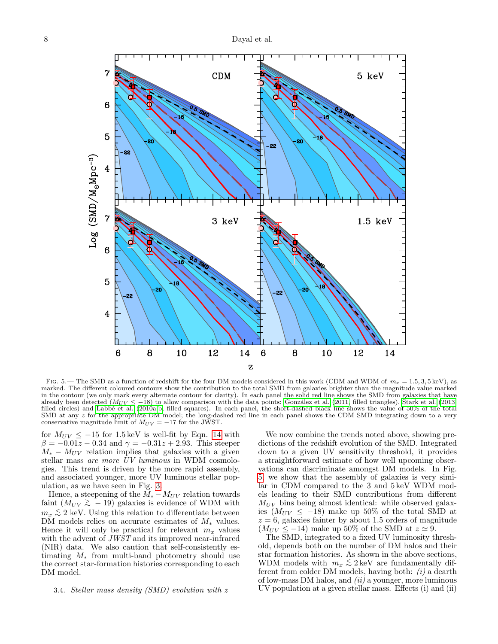

<span id="page-7-0"></span>FIG. 5.— The SMD as a function of redshift for the four DM models considered in this work (CDM and WDM of  $m_x = 1.5, 3, 5 \text{ keV}$ ), as marked. The different coloured contours show the contribution to the total SMD from galaxies brighter than the magnitude value marked in the contour (we only mark every alternate contour for clarity). In each panel the solid red line shows the SMD from galaxies that have already been detected ( $M_{UV} \le -18$ ) to allow comparison with the data points: González et al. [\(2011,](#page-10-23) filled triangles), [Stark et al.](#page-10-24) [\(2013,](#page-10-24) filled circles) and Labbé et al. [\(2010a,](#page-10-25)[b,](#page-10-26) filled squares). In each panel, the sh SMD at any z for the appropriate DM model; the long-dashed red line in each panel shows the CDM SMD integrating down to a very conservative magnitude limit of  $M_{UV} = -17$  for the JWST.

for  $M_{UV} \le -15$  for 1.5 keV is well-fit by Eqn. [14](#page-6-2) with  $\beta = -0.01z - 0.34$  and  $\gamma = -0.31z + 2.93$ . This steeper  $M_* - M_{UV}$  relation implies that galaxies with a given stellar mass are more  $\bar{U}V$  luminous in WDM cosmologies. This trend is driven by the more rapid assembly, and associated younger, more UV luminous stellar population, as we have seen in Fig. [3.](#page-5-0)

Hence, a steepening of the  $M_* - M_{UV}$  relation towards faint  $(M_{UV} \gtrsim -19)$  galaxies is evidence of WDM with  $m_x \lesssim 2$  keV. Using this relation to differentiate between DM models relies on accurate estimates of  $M_*$  values. Hence it will only be practical for relevant  $m_x$  values with the advent of *JWST* and its improved near-infrared (NIR) data. We also caution that self-consistently estimating  $M_*$  from multi-band photometry should use the correct star-formation histories corresponding to each DM model.

## 3.4. Stellar mass density (SMD) evolution with z

We now combine the trends noted above, showing predictions of the redshift evolution of the SMD. Integrated down to a given UV sensitivity threshold, it provides a straightforward estimate of how well upcoming observations can discriminate amongst DM models. In Fig. [5,](#page-7-0) we show that the assembly of galaxies is very similar in CDM compared to the 3 and 5 keV WDM models leading to their SMD contributions from different  $M_{UV}$  bins being almost identical: while observed galaxies ( $M_{UV}$  ≤ −18) make up 50% of the total SMD at  $z = 6$ , galaxies fainter by about 1.5 orders of magnitude  $(M_{UV} \le -14)$  make up 50% of the SMD at  $z \approx 9$ .

The SMD, integrated to a fixed UV luminosity threshold, depends both on the number of DM halos and their star formation histories. As shown in the above sections, WDM models with  $m_x \lesssim 2 \,\text{keV}$  are fundamentally different from colder DM models, having both:  $(i)$  a dearth of low-mass DM halos, and  $(ii)$  a younger, more luminous UV population at a given stellar mass. Effects (i) and (ii)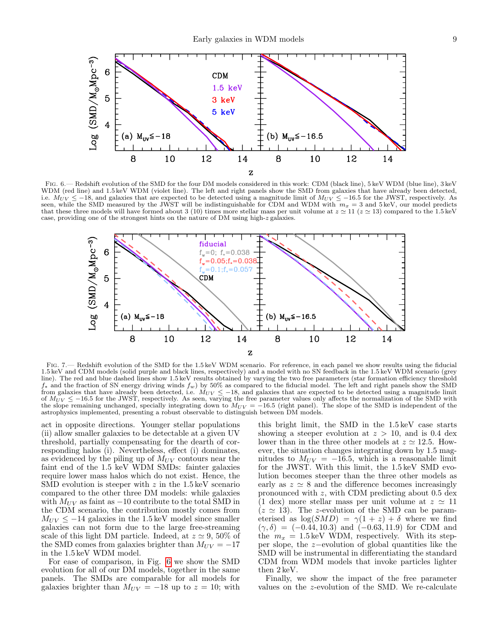

<span id="page-8-0"></span>Fig. 6.— Redshift evolution of the SMD for the four DM models considered in this work: CDM (black line), 5 keV WDM (blue line), 3 keV WDM (red line) and 1.5 keV WDM (violet line). The left and right panels show the SMD from galaxies that have already been detected, i.e.  $M_{UV} \le -18$ , and galaxies that are expected to be detected using a magnitude limit of  $M_{UV} \le -16.5$  for the JWST, respectively. As seen, while the SMD measured by the JWST will be indistinguishable for CDM and WDM wi that these three models will have formed about 3 (10) times more stellar mass per unit volume at  $z \approx 11$  ( $z \approx 13$ ) compared to the 1.5 keV case, providing one of the strongest hints on the nature of DM using high-z galaxies.



<span id="page-8-1"></span>FIG. 7.— Redshift evolution of the SMD for the 1.5 keV WDM scenario. For reference, in each panel we show results using the fiducial 1.5 keV and CDM models (solid purple and black lines, respectively) and a model with no SN feedback in the 1.5 keV WDM scenario (grey line). The red and blue dashed lines show 1.5 keV results obtained by varying the two free parameters (star formation efficiency threshold  $f_*$  and the fraction of SN energy driving winds  $f_w$ ) by 50% as compared to the fiducial model. The left and right panels show the SMD from galaxies that have already been detected, i.e.  $M_{UV} \leq -18$ , and galaxies that are expected to be detected using a magnitude limit of  $M_{UV} \le -16.5$  for the JWST, respectively. As seen, varying the free parameter values only affects the normalization of the SMD with the slope remaining unchanged, specially integrating down to  $M_{UV} = -16.5$  (right panel). The slope of the SMD is independent of the astrophysics implemented, presenting a robust observable to distinguish between DM models.

act in opposite directions. Younger stellar populations (ii) allow smaller galaxies to be detectable at a given UV threshold, partially compensating for the dearth of corresponding halos (i). Nevertheless, effect (i) dominates, as evidenced by the piling up of  $M_{UV}$  contours near the faint end of the 1.5 keV WDM SMDs: fainter galaxies require lower mass halos which do not exist. Hence, the SMD evolution is steeper with  $z$  in the 1.5 keV scenario compared to the other three DM models: while galaxies with  $M_{UV}$  as faint as  $-10$  contribute to the total SMD in the CDM scenario, the contribution mostly comes from  $M_{UV} \leq -14$  galaxies in the 1.5 keV model since smaller galaxies can not form due to the large free-streaming scale of this light DM particle. Indeed, at  $z \approx 9,50\%$  of the SMD comes from galaxies brighter than  $M_{UV} = -17$ in the 1.5 keV WDM model.

For ease of comparison, in Fig. [6](#page-8-0) we show the SMD evolution for all of our DM models, together in the same panels. The SMDs are comparable for all models for galaxies brighter than  $M_{UV} = -18$  up to  $z = 10$ ; with

this bright limit, the SMD in the 1.5 keV case starts showing a steeper evolution at  $z > 10$ , and is 0.4 dex lower than in the three other models at  $z \approx 12.5$ . However, the situation changes integrating down by 1.5 magnitudes to  $M_{UV} = -16.5$ , which is a reasonable limit for the JWST. With this limit, the 1.5 keV SMD evolution becomes steeper than the three other models as early as  $z \approx 8$  and the difference becomes increasingly pronounced with z, with CDM predicting about 0.5 dex (1 dex) more stellar mass per unit volume at  $z \simeq 11$  $(z \simeq 13)$ . The z-evolution of the SMD can be parameterised as  $\log(SMD) = \gamma(1 + z) + \delta$  where we find  $(\gamma, \delta) = (-0.44, 10.3)$  and  $(-0.63, 11.9)$  for CDM and the  $m_x = 1.5 \,\text{keV}$  WDM, respectively. With its stepper slope, the z−evolution of global quantities like the SMD will be instrumental in differentiating the standard CDM from WDM models that invoke particles lighter then 2 keV.

Finally, we show the impact of the free parameter values on the z-evolution of the SMD. We re-calculate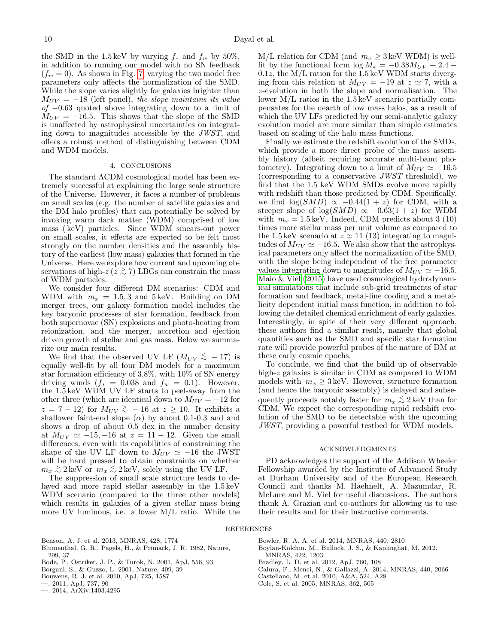the SMD in the 1.5 keV by varying  $f_*$  and  $f_w$  by 50%, in addition to running our model with no SN feedback  $(f_w = 0)$ . As shown in Fig. [7,](#page-8-1) varying the two model free parameters only affects the normalization of the SMD. While the slope varies slightly for galaxies brighter than  $M_{UV} = -18$  (left panel), the slope maintains its value  $of$  −0.63 quoted above integrating down to a limit of  $M_{UV} = -16.5$ . This shows that the slope of the SMD is unaffected by astrophysical uncertainties on integrating down to magnitudes accessible by the JWST, and offers a robust method of distinguishing between CDM and WDM models.

# 4. CONCLUSIONS

The standard ΛCDM cosmological model has been extremely successful at explaining the large scale structure of the Universe. However, it faces a number of problems on small scales (e.g. the number of satellite galaxies and the DM halo profiles) that can potentially be solved by invoking warm dark matter (WDM) comprised of low mass ( keV) particles. Since WDM smears-out power on small scales, it effects are expected to be felt most strongly on the number densities and the assembly history of the earliest (low mass) galaxies that formed in the Universe. Here we explore how current and upcoming observations of high-z ( $\overline{z} \gtrsim 7$ ) LBGs can constrain the mass of WDM particles.

We consider four different DM scenarios: CDM and WDM with  $m_x = 1.5, 3$  and  $5 \,\text{keV}$ . Building on DM merger trees, our galaxy formation model includes the key baryonic processes of star formation, feedback from both supernovae (SN) explosions and photo-heating from reionization, and the merger, accretion and ejection driven growth of stellar and gas mass. Below we summarize our main results.

We find that the observed UV LF  $(M_{UV} \lesssim -17)$  is equally well-fit by all four DM models for a maximum star formation efficiency of 3.8%, with 10% of SN energy driving winds  $(f_* = 0.038$  and  $f_w = 0.1$ ). However, the 1.5 keV WDM UV LF starts to peel-away from the other three (which are identical down to  $M_{UV} = -12$  for  $z = 7 - 12$ ) for  $M_{UV} \gtrsim -16$  at  $z \ge 10$ . It exhibits a shallower faint-end slope  $(\alpha)$  by about 0.1-0.3 and and shows a drop of about 0.5 dex in the number density at  $M_{UV} \simeq -15, -16$  at  $z = 11 - 12$ . Given the small differences, even with its capabilities of constraining the shape of the UV LF down to  $M_{UV} \simeq -16$  the JWST will be hard pressed to obtain constraints on whether  $m_x \gtrsim 2 \,\text{keV}$  or  $m_x \lesssim 2 \,\text{keV}$ , solely using the UV LF.

The suppression of small scale structure leads to delayed and more rapid stellar assembly in the 1.5 keV WDM scenario (compared to the three other models) which results in galaxies of a given stellar mass being more UV luminous, i.e. a lower M/L ratio. While the  $M/L$  relation for CDM (and  $m_x \geq 3 \,\text{keV}$  WDM) is wellfit by the functional form  $\log M_* = -0.38 M_{UV} + 2.4 0.1z$ , the M/L ration for the 1.5 keV WDM starts diverging from this relation at  $M_{UV} = -19$  at  $z \approx 7$ , with a z-evolution in both the slope and normalisation. The lower M/L ratios in the 1.5 keV scenario partially compensates for the dearth of low mass halos, as a result of which the UV LFs predicted by our semi-analytic galaxy evolution model are more similar than simple estimates based on scaling of the halo mass functions.

Finally we estimate the redshift evolution of the SMDs, which provide a more direct probe of the mass assembly history (albeit requiring accurate multi-band photometry). Integrating down to a limit of  $M_{UV} \simeq -16.5$ (corresponding to a conservative JWST threshold), we find that the 1.5 keV WDM SMDs evolve more rapidly with redshift than those predicted by CDM. Specifically, we find  $\log(SMD) \propto -0.44(1+z)$  for CDM, with a steeper slope of log( $SMD$ )  $\propto -0.63(1 + z)$  for WDM with  $m_x = 1.5 \,\text{keV}$ . Indeed, CDM predicts about 3 (10) times more stellar mass per unit volume as compared to the 1.5 keV scenario at  $z \approx 11$  (13) integrating to magnitudes of  $M_{UV} \simeq -16.5$ . We also show that the astrophysical parameters only affect the normalization of the SMD, with the slope being independent of the free parameter values integrating down to magnitudes of  $M_{UV} \simeq -16.5$ . [Maio & Viel](#page-10-44) [\(2015\)](#page-10-44) have used cosmological hydrodynamical simulations that include sub-grid treatments of star formation and feedback, metal-line cooling and a metallicity dependent initial mass function, in addition to following the detailed chemical enrichment of early galaxies. Interestingly, in spite of their very different approach, these authors find a similar result, namely that global quantities such as the SMD and specific star formation rate will provide powerful probes of the nature of DM at these early cosmic epochs.

To conclude, we find that the build up of observable high-z galaxies is similar in CDM as compared to WDM models with  $m_x \geq 3 \,\text{keV}$ . However, structure formation (and hence the baryonic assembly) is delayed and subsequently proceeds notably faster for  $m_x \lesssim 2 \,\mathrm{keV}$  than for CDM. We expect the corresponding rapid redshift evolution of the SMD to be detectable with the upcoming JWST, providing a powerful testbed for WDM models.

#### ACKNOWLEDGMENTS

PD acknowledges the support of the Addison Wheeler Fellowship awarded by the Institute of Advanced Study at Durham University and of the European Research Council and thanks M. Haehnelt, A. Mazumdar, R. McLure and M. Viel for useful discussions. The authors thank A. Grazian and co-authors for allowing us to use their results and for their instructive comments.

#### REFERENCES

<span id="page-9-11"></span>Benson, A. J. et al. 2013, MNRAS, 428, 1774

- <span id="page-9-3"></span>Blumenthal, G. R., Pagels, H., & Primack, J. R. 1982, Nature, 299, 37
- <span id="page-9-4"></span>Bode, P., Ostriker, J. P., & Turok, N. 2001, ApJ, 556, 93
- <span id="page-9-0"></span>Borgani, S., & Guzzo, L. 2001, Nature, 409, 39
- <span id="page-9-5"></span>Bouwens, R. J. et al. 2010, ApJ, 725, 1587

<span id="page-9-6"></span>—. 2011, ApJ, 737, 90

<span id="page-9-10"></span>—. 2014, ArXiv:1403.4295

- <span id="page-9-8"></span>Bowler, R. A. A. et al. 2014, MNRAS, 440, 2810
- <span id="page-9-2"></span>Boylan-Kolchin, M., Bullock, J. S., & Kaplinghat, M. 2012, MNRAS, 422, 1203
- <span id="page-9-12"></span><span id="page-9-9"></span>Bradley, L. D. et al. 2012, ApJ, 760, 108
- <span id="page-9-7"></span>Calura, F., Menci, N., & Gallazzi, A. 2014, MNRAS, 440, 2066
- Castellano, M. et al. 2010, A&A, 524, A28
- <span id="page-9-1"></span>Cole, S. et al. 2005, MNRAS, 362, 505